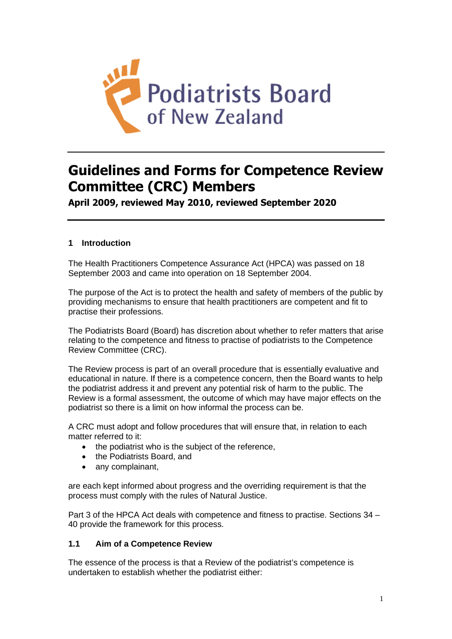

# **Guidelines and Forms for Competence Review Committee (CRC) Members**

**April 2009, reviewed May 2010, reviewed September 2020**

# **1 Introduction**

The Health Practitioners Competence Assurance Act (HPCA) was passed on 18 September 2003 and came into operation on 18 September 2004.

The purpose of the Act is to protect the health and safety of members of the public by providing mechanisms to ensure that health practitioners are competent and fit to practise their professions.

The Podiatrists Board (Board) has discretion about whether to refer matters that arise relating to the competence and fitness to practise of podiatrists to the Competence Review Committee (CRC).

The Review process is part of an overall procedure that is essentially evaluative and educational in nature. If there is a competence concern, then the Board wants to help the podiatrist address it and prevent any potential risk of harm to the public. The Review is a formal assessment, the outcome of which may have major effects on the podiatrist so there is a limit on how informal the process can be.

A CRC must adopt and follow procedures that will ensure that, in relation to each matter referred to it:

- the podiatrist who is the subject of the reference,
- the Podiatrists Board, and
- any complainant,

are each kept informed about progress and the overriding requirement is that the process must comply with the rules of Natural Justice.

Part 3 of the HPCA Act deals with competence and fitness to practise. Sections 34 – 40 provide the framework for this process.

# **1.1 Aim of a Competence Review**

The essence of the process is that a Review of the podiatrist's competence is undertaken to establish whether the podiatrist either: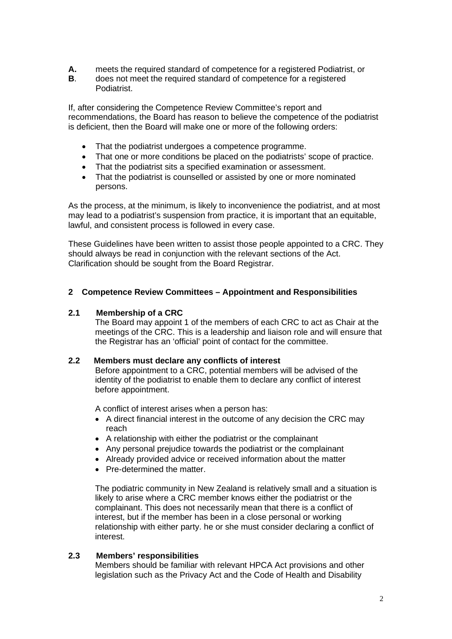- **A.** meets the required standard of competence for a registered Podiatrist, or
- **B**. does not meet the required standard of competence for a registered Podiatrist.

If, after considering the Competence Review Committee's report and recommendations, the Board has reason to believe the competence of the podiatrist is deficient, then the Board will make one or more of the following orders:

- That the podiatrist undergoes a competence programme.
- That one or more conditions be placed on the podiatrists' scope of practice.
- That the podiatrist sits a specified examination or assessment.
- That the podiatrist is counselled or assisted by one or more nominated persons.

As the process, at the minimum, is likely to inconvenience the podiatrist, and at most may lead to a podiatrist's suspension from practice, it is important that an equitable, lawful, and consistent process is followed in every case.

These Guidelines have been written to assist those people appointed to a CRC. They should always be read in conjunction with the relevant sections of the Act. Clarification should be sought from the Board Registrar.

#### **2 Competence Review Committees – Appointment and Responsibilities**

#### **2.1 Membership of a CRC**

The Board may appoint 1 of the members of each CRC to act as Chair at the meetings of the CRC. This is a leadership and liaison role and will ensure that the Registrar has an 'official' point of contact for the committee.

#### **2.2 Members must declare any conflicts of interest**

Before appointment to a CRC, potential members will be advised of the identity of the podiatrist to enable them to declare any conflict of interest before appointment.

A conflict of interest arises when a person has:

- A direct financial interest in the outcome of any decision the CRC may reach
- A relationship with either the podiatrist or the complainant
- Any personal prejudice towards the podiatrist or the complainant
- Already provided advice or received information about the matter
- Pre-determined the matter.

The podiatric community in New Zealand is relatively small and a situation is likely to arise where a CRC member knows either the podiatrist or the complainant. This does not necessarily mean that there is a conflict of interest, but if the member has been in a close personal or working relationship with either party. he or she must consider declaring a conflict of interest.

#### **2.3 Members' responsibilities**

Members should be familiar with relevant HPCA Act provisions and other legislation such as the Privacy Act and the Code of Health and Disability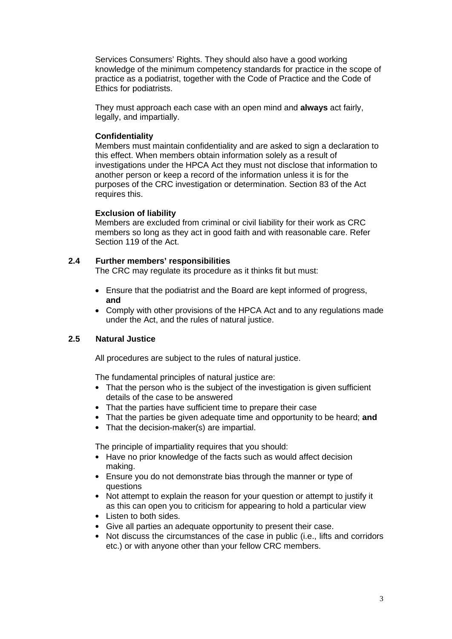Services Consumers' Rights. They should also have a good working knowledge of the minimum competency standards for practice in the scope of practice as a podiatrist, together with the Code of Practice and the Code of Ethics for podiatrists.

They must approach each case with an open mind and **always** act fairly, legally, and impartially.

## **Confidentiality**

Members must maintain confidentiality and are asked to sign a declaration to this effect. When members obtain information solely as a result of investigations under the HPCA Act they must not disclose that information to another person or keep a record of the information unless it is for the purposes of the CRC investigation or determination. Section 83 of the Act requires this.

## **Exclusion of liability**

Members are excluded from criminal or civil liability for their work as CRC members so long as they act in good faith and with reasonable care. Refer Section 119 of the Act.

# **2.4 Further members' responsibilities**

The CRC may regulate its procedure as it thinks fit but must:

- Ensure that the podiatrist and the Board are kept informed of progress, **and**
- Comply with other provisions of the HPCA Act and to any regulations made under the Act, and the rules of natural justice.

# **2.5 Natural Justice**

All procedures are subject to the rules of natural justice.

The fundamental principles of natural justice are:

- That the person who is the subiect of the investigation is given sufficient details of the case to be answered
- That the parties have sufficient time to prepare their case
- That the parties be given adequate time and opportunity to be heard; **and**
- That the decision-maker(s) are impartial.

The principle of impartiality requires that you should:

- Have no prior knowledge of the facts such as would affect decision making.
- Ensure you do not demonstrate bias through the manner or type of questions
- Not attempt to explain the reason for your question or attempt to justify it as this can open you to criticism for appearing to hold a particular view
- Listen to both sides.
- Give all parties an adequate opportunity to present their case.
- Not discuss the circumstances of the case in public (i.e., lifts and corridors etc.) or with anyone other than your fellow CRC members.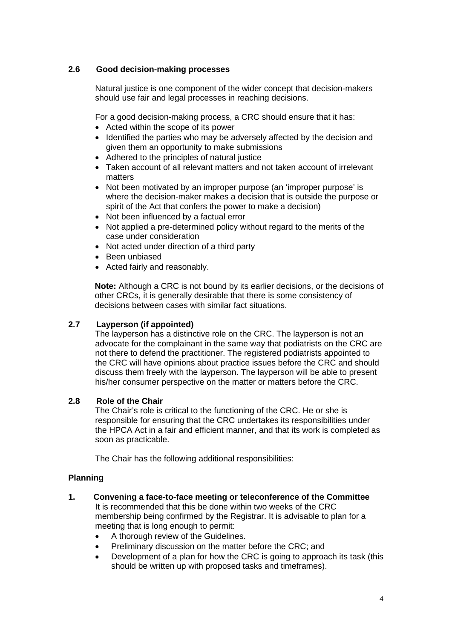# **2.6 Good decision-making processes**

Natural justice is one component of the wider concept that decision-makers should use fair and legal processes in reaching decisions.

For a good decision-making process, a CRC should ensure that it has:

- Acted within the scope of its power
- Identified the parties who may be adversely affected by the decision and given them an opportunity to make submissions
- Adhered to the principles of natural justice
- Taken account of all relevant matters and not taken account of irrelevant matters
- Not been motivated by an improper purpose (an 'improper purpose' is where the decision-maker makes a decision that is outside the purpose or spirit of the Act that confers the power to make a decision)
- Not been influenced by a factual error
- Not applied a pre-determined policy without regard to the merits of the case under consideration
- Not acted under direction of a third party
- Been unbiased
- Acted fairly and reasonably.

**Note:** Although a CRC is not bound by its earlier decisions, or the decisions of other CRCs, it is generally desirable that there is some consistency of decisions between cases with similar fact situations.

## **2.7 Layperson (if appointed)**

The layperson has a distinctive role on the CRC. The layperson is not an advocate for the complainant in the same way that podiatrists on the CRC are not there to defend the practitioner. The registered podiatrists appointed to the CRC will have opinions about practice issues before the CRC and should discuss them freely with the layperson. The layperson will be able to present his/her consumer perspective on the matter or matters before the CRC.

## **2.8 Role of the Chair**

The Chair's role is critical to the functioning of the CRC. He or she is responsible for ensuring that the CRC undertakes its responsibilities under the HPCA Act in a fair and efficient manner, and that its work is completed as soon as practicable.

The Chair has the following additional responsibilities:

## **Planning**

- **1. Convening a face-to-face meeting or teleconference of the Committee** It is recommended that this be done within two weeks of the CRC membership being confirmed by the Registrar. It is advisable to plan for a meeting that is long enough to permit:
	- A thorough review of the Guidelines.
	- Preliminary discussion on the matter before the CRC; and
	- Development of a plan for how the CRC is going to approach its task (this should be written up with proposed tasks and timeframes).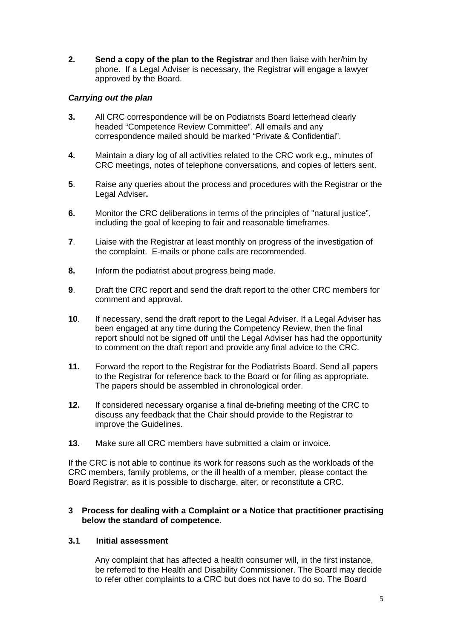**2. Send a copy of the plan to the Registrar** and then liaise with her/him by phone. If a Legal Adviser is necessary, the Registrar will engage a lawyer approved by the Board.

# *Carrying out the plan*

- **3.** All CRC correspondence will be on Podiatrists Board letterhead clearly headed "Competence Review Committee". All emails and any correspondence mailed should be marked "Private & Confidential".
- **4.** Maintain a diary log of all activities related to the CRC work e.g., minutes of CRC meetings, notes of telephone conversations, and copies of letters sent.
- **5**. Raise any queries about the process and procedures with the Registrar or the Legal Adviser**.**
- **6.** Monitor the CRC deliberations in terms of the principles of "natural justice", including the goal of keeping to fair and reasonable timeframes.
- **7**. Liaise with the Registrar at least monthly on progress of the investigation of the complaint. E-mails or phone calls are recommended.
- **8.** Inform the podiatrist about progress being made.
- **9**. Draft the CRC report and send the draft report to the other CRC members for comment and approval.
- **10**. If necessary, send the draft report to the Legal Adviser. If a Legal Adviser has been engaged at any time during the Competency Review, then the final report should not be signed off until the Legal Adviser has had the opportunity to comment on the draft report and provide any final advice to the CRC.
- **11.** Forward the report to the Registrar for the Podiatrists Board. Send all papers to the Registrar for reference back to the Board or for filing as appropriate. The papers should be assembled in chronological order.
- **12.** If considered necessary organise a final de-briefing meeting of the CRC to discuss any feedback that the Chair should provide to the Registrar to improve the Guidelines.
- **13.** Make sure all CRC members have submitted a claim or invoice.

If the CRC is not able to continue its work for reasons such as the workloads of the CRC members, family problems, or the ill health of a member, please contact the Board Registrar, as it is possible to discharge, alter, or reconstitute a CRC.

#### **3 Process for dealing with a Complaint or a Notice that practitioner practising below the standard of competence.**

## **3.1 Initial assessment**

Any complaint that has affected a health consumer will, in the first instance, be referred to the Health and Disability Commissioner. The Board may decide to refer other complaints to a CRC but does not have to do so. The Board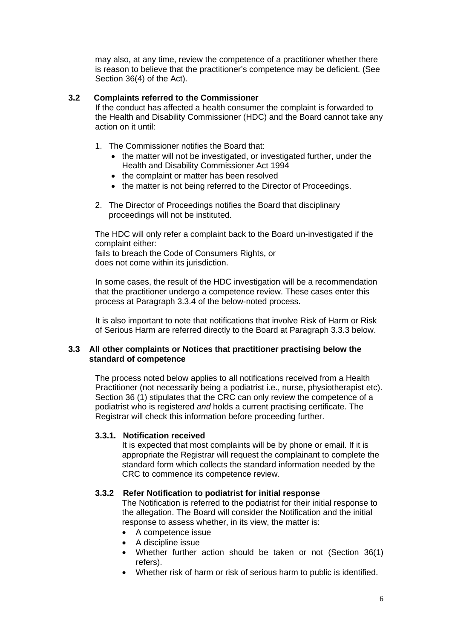may also, at any time, review the competence of a practitioner whether there is reason to believe that the practitioner's competence may be deficient. (See Section 36(4) of the Act).

## **3.2 Complaints referred to the Commissioner**

If the conduct has affected a health consumer the complaint is forwarded to the Health and Disability Commissioner (HDC) and the Board cannot take any action on it until:

- 1. The Commissioner notifies the Board that:
	- the matter will not be investigated, or investigated further, under the Health and Disability Commissioner Act 1994
	- the complaint or matter has been resolved
	- the matter is not being referred to the Director of Proceedings.
- 2. The Director of Proceedings notifies the Board that disciplinary proceedings will not be instituted.

The HDC will only refer a complaint back to the Board un-investigated if the complaint either:

fails to breach the Code of Consumers Rights, or does not come within its jurisdiction.

In some cases, the result of the HDC investigation will be a recommendation that the practitioner undergo a competence review. These cases enter this process at Paragraph 3.3.4 of the below-noted process.

It is also important to note that notifications that involve Risk of Harm or Risk of Serious Harm are referred directly to the Board at Paragraph 3.3.3 below.

## **3.3 All other complaints or Notices that practitioner practising below the standard of competence**

The process noted below applies to all notifications received from a Health Practitioner (not necessarily being a podiatrist i.e., nurse, physiotherapist etc). Section 36 (1) stipulates that the CRC can only review the competence of a podiatrist who is registered *and* holds a current practising certificate. The Registrar will check this information before proceeding further.

# **3.3.1. Notification received**

It is expected that most complaints will be by phone or email. If it is appropriate the Registrar will request the complainant to complete the standard form which collects the standard information needed by the CRC to commence its competence review.

## **3.3.2 Refer Notification to podiatrist for initial response**

The Notification is referred to the podiatrist for their initial response to the allegation. The Board will consider the Notification and the initial response to assess whether, in its view, the matter is:

- A competence issue
- A discipline issue
- Whether further action should be taken or not (Section 36(1) refers).
- Whether risk of harm or risk of serious harm to public is identified.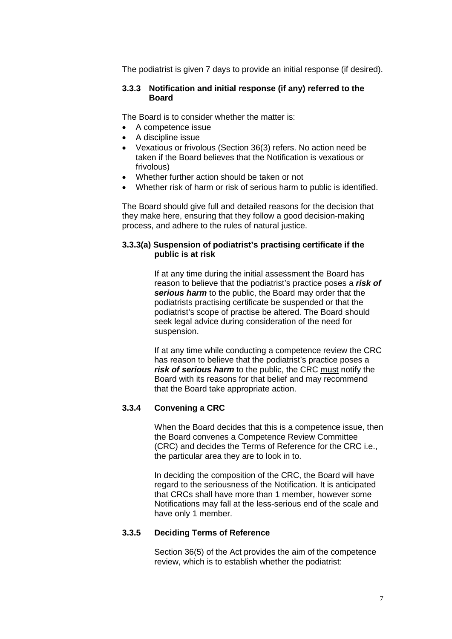The podiatrist is given 7 days to provide an initial response (if desired).

#### **3.3.3 Notification and initial response (if any) referred to the Board**

The Board is to consider whether the matter is:

- A competence issue
- A discipline issue
- Vexatious or frivolous (Section 36(3) refers. No action need be taken if the Board believes that the Notification is vexatious or frivolous)
- Whether further action should be taken or not
- Whether risk of harm or risk of serious harm to public is identified.

The Board should give full and detailed reasons for the decision that they make here, ensuring that they follow a good decision-making process, and adhere to the rules of natural justice.

#### **3.3.3(a) Suspension of podiatrist's practising certificate if the public is at risk**

If at any time during the initial assessment the Board has reason to believe that the podiatrist's practice poses a *risk of serious harm* to the public, the Board may order that the podiatrists practising certificate be suspended or that the podiatrist's scope of practise be altered. The Board should seek legal advice during consideration of the need for suspension.

If at any time while conducting a competence review the CRC has reason to believe that the podiatrist's practice poses a *risk of serious harm* to the public, the CRC must notify the Board with its reasons for that belief and may recommend that the Board take appropriate action.

# **3.3.4 Convening a CRC**

When the Board decides that this is a competence issue, then the Board convenes a Competence Review Committee (CRC) and decides the Terms of Reference for the CRC i.e., the particular area they are to look in to.

In deciding the composition of the CRC, the Board will have regard to the seriousness of the Notification. It is anticipated that CRCs shall have more than 1 member, however some Notifications may fall at the less-serious end of the scale and have only 1 member.

## **3.3.5 Deciding Terms of Reference**

Section 36(5) of the Act provides the aim of the competence review, which is to establish whether the podiatrist: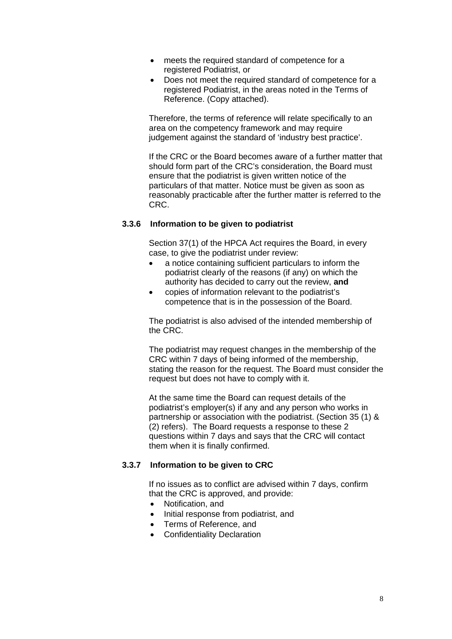- meets the required standard of competence for a registered Podiatrist, or
- Does not meet the required standard of competence for a registered Podiatrist, in the areas noted in the Terms of Reference. (Copy attached).

Therefore, the terms of reference will relate specifically to an area on the competency framework and may require judgement against the standard of 'industry best practice'.

If the CRC or the Board becomes aware of a further matter that should form part of the CRC's consideration, the Board must ensure that the podiatrist is given written notice of the particulars of that matter. Notice must be given as soon as reasonably practicable after the further matter is referred to the CRC.

#### **3.3.6 Information to be given to podiatrist**

Section 37(1) of the HPCA Act requires the Board, in every case, to give the podiatrist under review:

- a notice containing sufficient particulars to inform the podiatrist clearly of the reasons (if any) on which the authority has decided to carry out the review, **and**
- copies of information relevant to the podiatrist's competence that is in the possession of the Board.

The podiatrist is also advised of the intended membership of the CRC.

The podiatrist may request changes in the membership of the CRC within 7 days of being informed of the membership, stating the reason for the request. The Board must consider the request but does not have to comply with it.

At the same time the Board can request details of the podiatrist's employer(s) if any and any person who works in partnership or association with the podiatrist. (Section 35 (1) & (2) refers). The Board requests a response to these 2 questions within 7 days and says that the CRC will contact them when it is finally confirmed.

#### **3.3.7 Information to be given to CRC**

If no issues as to conflict are advised within 7 days, confirm that the CRC is approved, and provide:

- Notification, and
- Initial response from podiatrist, and
- Terms of Reference, and
- Confidentiality Declaration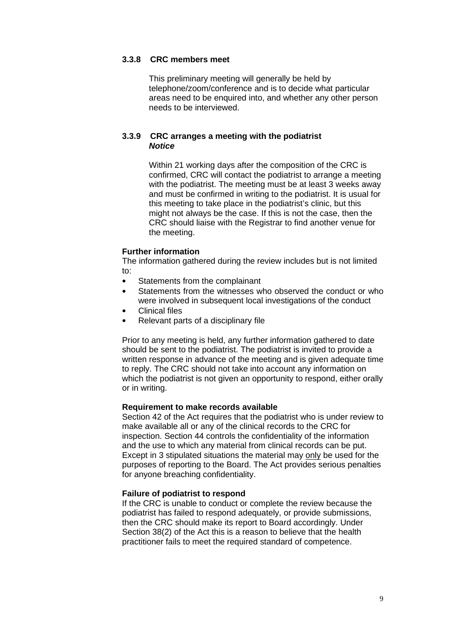#### **3.3.8 CRC members meet**

This preliminary meeting will generally be held by telephone/zoom/conference and is to decide what particular areas need to be enquired into, and whether any other person needs to be interviewed.

## **3.3.9 CRC arranges a meeting with the podiatrist** *Notice*

Within 21 working days after the composition of the CRC is confirmed, CRC will contact the podiatrist to arrange a meeting with the podiatrist. The meeting must be at least 3 weeks away and must be confirmed in writing to the podiatrist. It is usual for this meeting to take place in the podiatrist's clinic, but this might not always be the case. If this is not the case, then the CRC should liaise with the Registrar to find another venue for the meeting.

## **Further information**

The information gathered during the review includes but is not limited to:

- Statements from the complainant
- Statements from the witnesses who observed the conduct or who were involved in subsequent local investigations of the conduct
- Clinical files
- Relevant parts of a disciplinary file

Prior to any meeting is held, any further information gathered to date should be sent to the podiatrist. The podiatrist is invited to provide a written response in advance of the meeting and is given adequate time to reply. The CRC should not take into account any information on which the podiatrist is not given an opportunity to respond, either orally or in writing.

#### **Requirement to make records available**

Section 42 of the Act requires that the podiatrist who is under review to make available all or any of the clinical records to the CRC for inspection. Section 44 controls the confidentiality of the information and the use to which any material from clinical records can be put. Except in 3 stipulated situations the material may only be used for the purposes of reporting to the Board. The Act provides serious penalties for anyone breaching confidentiality.

## **Failure of podiatrist to respond**

If the CRC is unable to conduct or complete the review because the podiatrist has failed to respond adequately, or provide submissions, then the CRC should make its report to Board accordingly. Under Section 38(2) of the Act this is a reason to believe that the health practitioner fails to meet the required standard of competence.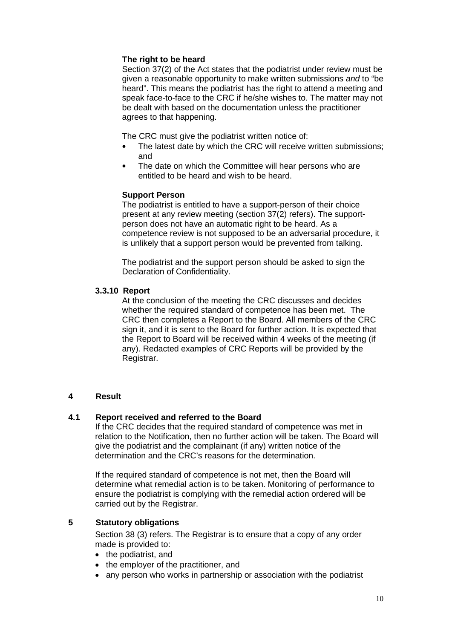## **The right to be heard**

Section 37(2) of the Act states that the podiatrist under review must be given a reasonable opportunity to make written submissions *and* to "be heard". This means the podiatrist has the right to attend a meeting and speak face-to-face to the CRC if he/she wishes to. The matter may not be dealt with based on the documentation unless the practitioner agrees to that happening.

The CRC must give the podiatrist written notice of:

- The latest date by which the CRC will receive written submissions; and
- The date on which the Committee will hear persons who are entitled to be heard and wish to be heard.

## **Support Person**

The podiatrist is entitled to have a support-person of their choice present at any review meeting (section 37(2) refers). The supportperson does not have an automatic right to be heard. As a competence review is not supposed to be an adversarial procedure, it is unlikely that a support person would be prevented from talking.

The podiatrist and the support person should be asked to sign the Declaration of Confidentiality.

#### **3.3.10 Report**

At the conclusion of the meeting the CRC discusses and decides whether the required standard of competence has been met. The CRC then completes a Report to the Board. All members of the CRC sign it, and it is sent to the Board for further action. It is expected that the Report to Board will be received within 4 weeks of the meeting (if any). Redacted examples of CRC Reports will be provided by the Registrar.

#### **4 Result**

## **4.1 Report received and referred to the Board**

If the CRC decides that the required standard of competence was met in relation to the Notification, then no further action will be taken. The Board will give the podiatrist and the complainant (if any) written notice of the determination and the CRC's reasons for the determination.

If the required standard of competence is not met, then the Board will determine what remedial action is to be taken. Monitoring of performance to ensure the podiatrist is complying with the remedial action ordered will be carried out by the Registrar.

## **5 Statutory obligations**

Section 38 (3) refers. The Registrar is to ensure that a copy of any order made is provided to:

- the podiatrist, and
- the employer of the practitioner, and
- any person who works in partnership or association with the podiatrist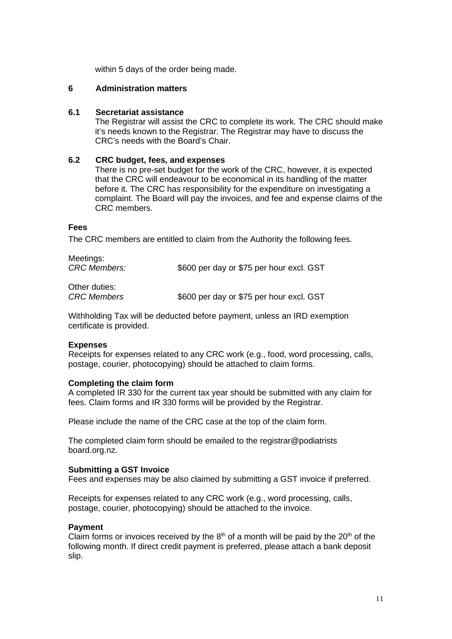within 5 days of the order being made.

## **6 Administration matters**

#### **6.1 Secretariat assistance**

The Registrar will assist the CRC to complete its work. The CRC should make it's needs known to the Registrar. The Registrar may have to discuss the CRC's needs with the Board's Chair.

#### **6.2 CRC budget, fees, and expenses**

There is no pre-set budget for the work of the CRC, however, it is expected that the CRC will endeavour to be economical in its handling of the matter before it. The CRC has responsibility for the expenditure on investigating a complaint. The Board will pay the invoices, and fee and expense claims of the CRC members.

#### **Fees**

The CRC members are entitled to claim from the Authority the following fees.

| Meetings:<br><b>CRC Members:</b> | \$600 per day or \$75 per hour excl. GST |
|----------------------------------|------------------------------------------|
| $\bigcap_{i=1}^{n}$              |                                          |

Other duties: *CRC Members* \$600 per day or \$75 per hour excl. GST

Withholding Tax will be deducted before payment, unless an IRD exemption certificate is provided.

#### **Expenses**

Receipts for expenses related to any CRC work (e.g., food, word processing, calls, postage, courier, photocopying) should be attached to claim forms.

#### **Completing the claim form**

A completed IR 330 for the current tax year should be submitted with any claim for fees. Claim forms and IR 330 forms will be provided by the Registrar.

Please include the name of the CRC case at the top of the claim form.

The completed claim form should be emailed to the registrar@podiatrists board.org.nz.

#### **Submitting a GST Invoice**

Fees and expenses may be also claimed by submitting a GST invoice if preferred.

Receipts for expenses related to any CRC work (e.g., word processing, calls, postage, courier, photocopying) should be attached to the invoice.

#### **Payment**

Claim forms or invoices received by the  $8<sup>th</sup>$  of a month will be paid by the  $20<sup>th</sup>$  of the following month. If direct credit payment is preferred, please attach a bank deposit slip.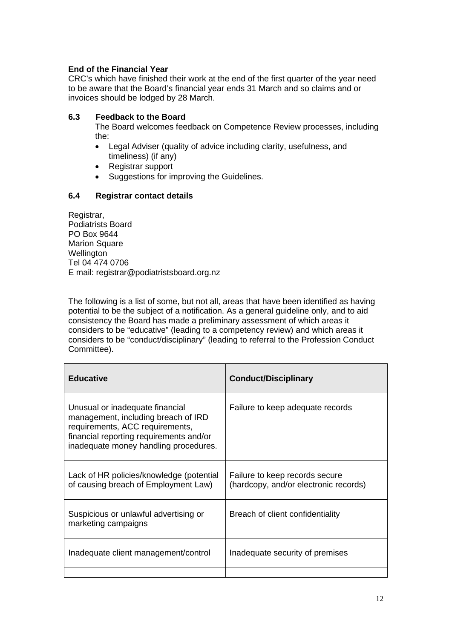# **End of the Financial Year**

CRC's which have finished their work at the end of the first quarter of the year need to be aware that the Board's financial year ends 31 March and so claims and or invoices should be lodged by 28 March.

## **6.3 Feedback to the Board**

The Board welcomes feedback on Competence Review processes, including the:

- Legal Adviser (quality of advice including clarity, usefulness, and timeliness) (if any)
- Registrar support
- Suggestions for improving the Guidelines.

# **6.4 Registrar contact details**

Registrar, Podiatrists Board PO Box 9644 Marion Square **Wellington** Tel 04 474 0706 E mail: registrar@podiatristsboard.org.nz

The following is a list of some, but not all, areas that have been identified as having potential to be the subject of a notification. As a general guideline only, and to aid consistency the Board has made a preliminary assessment of which areas it considers to be "educative" (leading to a competency review) and which areas it considers to be "conduct/disciplinary" (leading to referral to the Profession Conduct Committee).

| <b>Educative</b>                                                                                                                                                                              | <b>Conduct/Disciplinary</b>                                             |
|-----------------------------------------------------------------------------------------------------------------------------------------------------------------------------------------------|-------------------------------------------------------------------------|
| Unusual or inadequate financial<br>management, including breach of IRD<br>requirements, ACC requirements,<br>financial reporting requirements and/or<br>inadequate money handling procedures. | Failure to keep adequate records                                        |
| Lack of HR policies/knowledge (potential<br>of causing breach of Employment Law)                                                                                                              | Failure to keep records secure<br>(hardcopy, and/or electronic records) |
| Suspicious or unlawful advertising or<br>marketing campaigns                                                                                                                                  | Breach of client confidentiality                                        |
| Inadequate client management/control                                                                                                                                                          | Inadequate security of premises                                         |
|                                                                                                                                                                                               |                                                                         |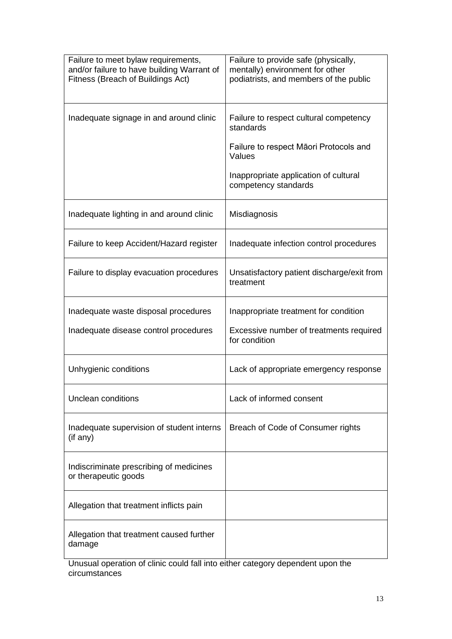| Failure to meet bylaw requirements,<br>and/or failure to have building Warrant of<br>Fitness (Breach of Buildings Act) | Failure to provide safe (physically,<br>mentally) environment for other<br>podiatrists, and members of the public |
|------------------------------------------------------------------------------------------------------------------------|-------------------------------------------------------------------------------------------------------------------|
| Inadequate signage in and around clinic                                                                                | Failure to respect cultural competency<br>standards                                                               |
|                                                                                                                        | Failure to respect Māori Protocols and<br>Values                                                                  |
|                                                                                                                        | Inappropriate application of cultural<br>competency standards                                                     |
| Inadequate lighting in and around clinic                                                                               | Misdiagnosis                                                                                                      |
| Failure to keep Accident/Hazard register                                                                               | Inadequate infection control procedures                                                                           |
| Failure to display evacuation procedures                                                                               | Unsatisfactory patient discharge/exit from<br>treatment                                                           |
| Inadequate waste disposal procedures                                                                                   | Inappropriate treatment for condition                                                                             |
| Inadequate disease control procedures                                                                                  | Excessive number of treatments required<br>for condition                                                          |
| Unhygienic conditions                                                                                                  | Lack of appropriate emergency response                                                                            |
| <b>Unclean conditions</b>                                                                                              | Lack of informed consent                                                                                          |
| Inadequate supervision of student interns<br>(if any)                                                                  | Breach of Code of Consumer rights                                                                                 |
| Indiscriminate prescribing of medicines<br>or therapeutic goods                                                        |                                                                                                                   |
| Allegation that treatment inflicts pain                                                                                |                                                                                                                   |
| Allegation that treatment caused further<br>damage                                                                     |                                                                                                                   |

Unusual operation of clinic could fall into either category dependent upon the circumstances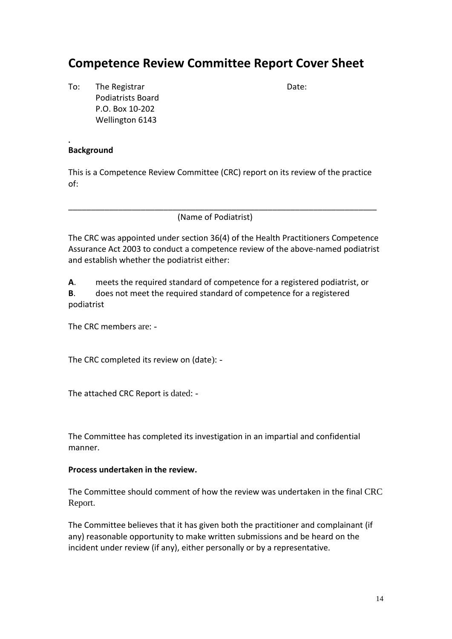# **Competence Review Committee Report Cover Sheet**

To: The Registrar Contract Contract Contract Date: Podiatrists Board P.O. Box 10-202 Wellington 6143

# **Background**

**.** 

This is a Competence Review Committee (CRC) report on its review of the practice of:

\_\_\_\_\_\_\_\_\_\_\_\_\_\_\_\_\_\_\_\_\_\_\_\_\_\_\_\_\_\_\_\_\_\_\_\_\_\_\_\_\_\_\_\_\_\_\_\_\_\_\_\_\_\_\_\_\_\_\_\_\_\_\_\_\_\_\_\_

(Name of Podiatrist)

The CRC was appointed under section 36(4) of the Health Practitioners Competence Assurance Act 2003 to conduct a competence review of the above-named podiatrist and establish whether the podiatrist either:

**A**. meets the required standard of competence for a registered podiatrist, or **B**. does not meet the required standard of competence for a registered podiatrist

The CRC members are: -

The CRC completed its review on (date): -

The attached CRC Report is dated: -

The Committee has completed its investigation in an impartial and confidential manner.

# **Process undertaken in the review.**

The Committee should comment of how the review was undertaken in the final CRC Report.

The Committee believes that it has given both the practitioner and complainant (if any) reasonable opportunity to make written submissions and be heard on the incident under review (if any), either personally or by a representative.